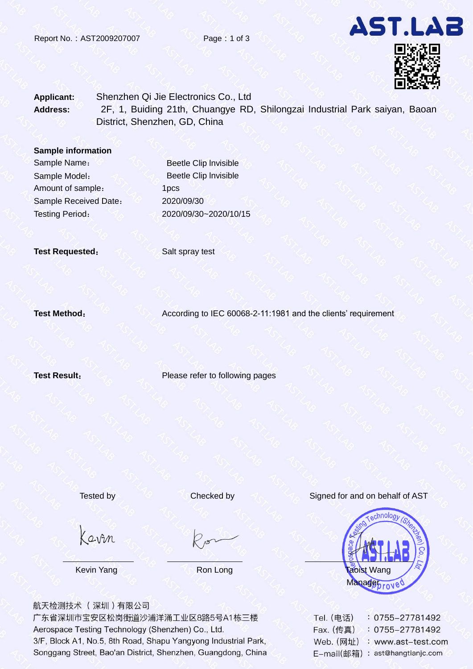



## **Applicant:** Shenzhen Qi Jie Electronics Co., Ltd **Address:** 2F, 1, Buiding 21th, Chuangye RD, Shilongzai Industrial Park saiyan, Baoan District, Shenzhen, GD, China

#### **Sample information**

Sample Model: Amount of sample: Sample Received Date: 2020/09/30

Sample Name: **Beetle Clip Invisible** Beetle Clip lnvisible 1pcs Testing Period: 2020/09/30~2020/10/15

**Test Requested:** Salt spray test

**Test Method:** According to IEC 60068-2-11:1981 and the clients' requirement

**Test Result:** Please refer to following pages

## Tested by Checked by Signed for and on behalf of AST

Kavin

航天检测技术 (深圳)有限公司

广东省深圳市宝安区松岗街道沙浦洋涌工业区8路5号A1栋三楼 Aerospace Testing Technology (Shenzhen) Co., Ltd. 3/F, Block A1, No.5, 8th Road, Shapu Yangyong Industrial Park, Songgang Street, Bao'an District, Shenzhen, Guangdong, China

**Kevin Yang North Albert Ron Long North Albert Taoist Wang** Managebrove

| Tel. (电话)  | $: 0755 - 27781492$  |
|------------|----------------------|
| Fax. (传真)  | $: 0755 - 27781492$  |
| Web. (网址)  | : www.ast-test.com   |
| E-mail(邮箱) | : ast@hangtianjc.com |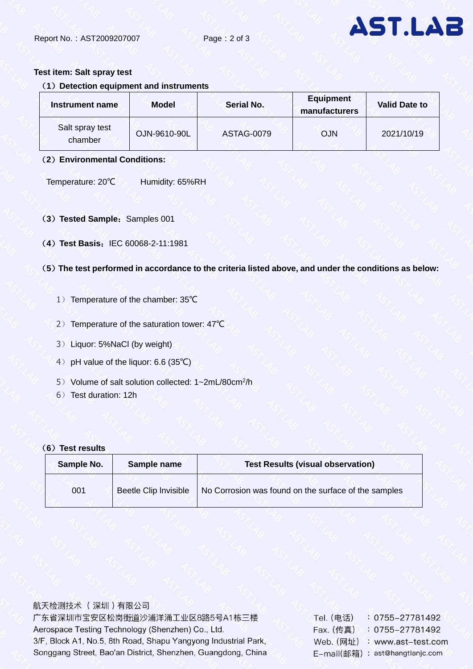

### **Test item: Salt spray test**

## (**1**)**Detection equipment and instruments**

| Instrument name            | <b>Model</b> | Serial No. | <b>Equipment</b><br>manufacturers | <b>Valid Date to</b> |
|----------------------------|--------------|------------|-----------------------------------|----------------------|
| Salt spray test<br>chamber | OJN-9610-90L | ASTAG-0079 | <b>OJN</b>                        | 2021/10/19           |

#### (**2**)**Environmental Conditions:**

Temperature: 20℃ Humidity: 65%RH

- (3) Tested Sample: Samples 001
- (**4**)**Test Basis**:IEC 60068-2-11:1981
- (**5**)**The test performed in accordance to the criteria listed above, and under the conditions as below:** 
	- 1) Temperature of the chamber: 35℃
	- 2) Temperature of the saturation tower: 47℃
	- 3)Liquor: 5%NaCl (by weight)
	- 4) pH value of the liquor: 6.6 (35℃)
	- 5) Volume of salt solution collected: 1~2mL/80cm<sup>2</sup>/h
	- 6) Test duration: 12h

#### (**6**)**Test results**

| Sample No. | Sample name           | <b>Test Results (visual observation)</b>             |  |
|------------|-----------------------|------------------------------------------------------|--|
| 001        | Beetle Clip Invisible | No Corrosion was found on the surface of the samples |  |

航天检测技术 (深圳)有限公司 广东省深圳市宝安区松岗街道沙浦洋涌工业区8路5号A1栋三楼 Aerospace Testing Technology (Shenzhen) Co., Ltd. 3/F, Block A1, No.5, 8th Road, Shapu Yangyong Industrial Park, Songgang Street, Bao'an District, Shenzhen, Guangdong, China

| Tel. (电话)  | 0755-27781492        |
|------------|----------------------|
| Fax. (传真)  | $: 0755 - 27781492$  |
| Web. (网址)  | : www.ast-test.com   |
| E-mail(邮箱) | : ast@hangtianjc.com |